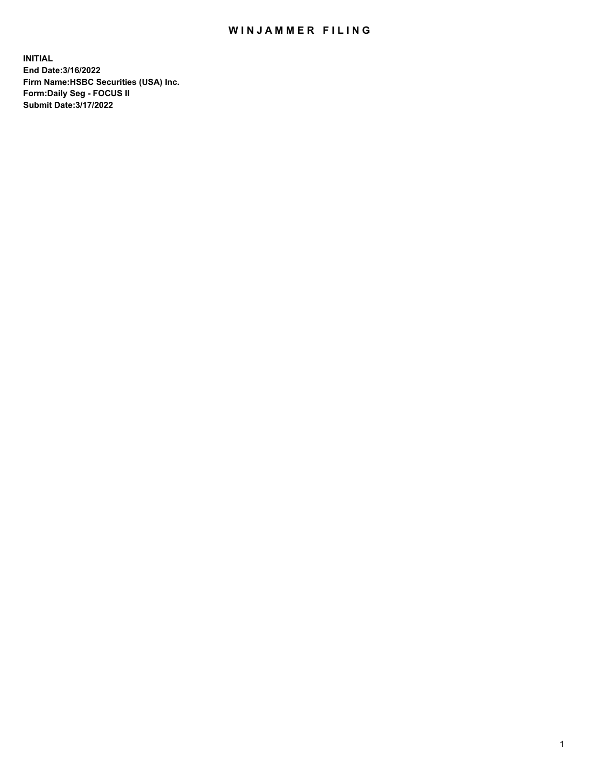## WIN JAMMER FILING

**INITIAL End Date:3/16/2022 Firm Name:HSBC Securities (USA) Inc. Form:Daily Seg - FOCUS II Submit Date:3/17/2022**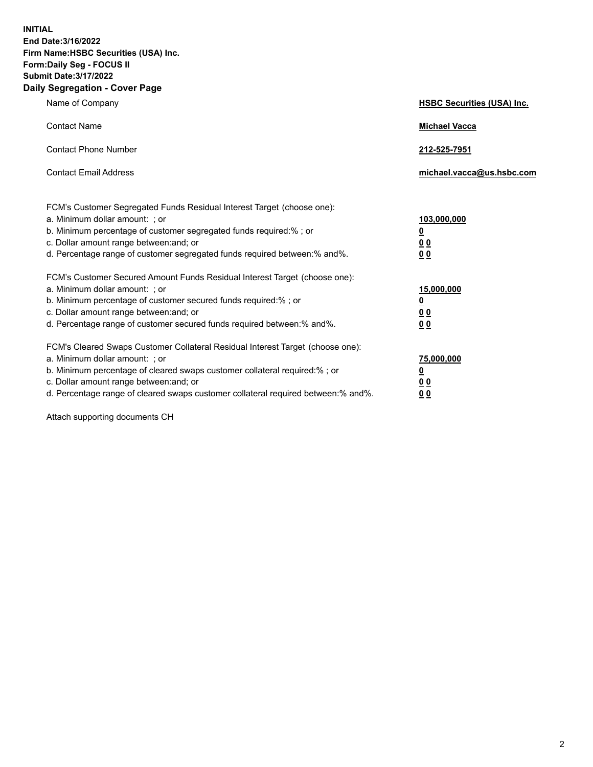**INITIAL End Date:3/16/2022 Firm Name:HSBC Securities (USA) Inc. Form:Daily Seg - FOCUS II Submit Date:3/17/2022 Daily Segregation - Cover Page**

| Name of Company                                                                                                                                                                                                                                                                                                               | <b>HSBC Securities (USA) Inc.</b>                           |
|-------------------------------------------------------------------------------------------------------------------------------------------------------------------------------------------------------------------------------------------------------------------------------------------------------------------------------|-------------------------------------------------------------|
| <b>Contact Name</b>                                                                                                                                                                                                                                                                                                           | <b>Michael Vacca</b>                                        |
| <b>Contact Phone Number</b>                                                                                                                                                                                                                                                                                                   | 212-525-7951                                                |
| <b>Contact Email Address</b>                                                                                                                                                                                                                                                                                                  | michael.vacca@us.hsbc.com                                   |
| FCM's Customer Segregated Funds Residual Interest Target (choose one):<br>a. Minimum dollar amount: ; or<br>b. Minimum percentage of customer segregated funds required:% ; or<br>c. Dollar amount range between: and; or<br>d. Percentage range of customer segregated funds required between:% and%.                        | 103,000,000<br><u>0</u><br>0 <sub>0</sub><br>0 <sub>0</sub> |
| FCM's Customer Secured Amount Funds Residual Interest Target (choose one):<br>a. Minimum dollar amount: ; or<br>b. Minimum percentage of customer secured funds required:%; or<br>c. Dollar amount range between: and; or<br>d. Percentage range of customer secured funds required between: % and %.                         | 15,000,000<br><u>0</u><br>0 <sub>0</sub><br>0 <sub>0</sub>  |
| FCM's Cleared Swaps Customer Collateral Residual Interest Target (choose one):<br>a. Minimum dollar amount: : or<br>b. Minimum percentage of cleared swaps customer collateral required:%; or<br>c. Dollar amount range between: and; or<br>d. Percentage range of cleared swaps customer collateral required between:% and%. | 75,000,000<br><u>0</u><br>00<br>00                          |

Attach supporting documents CH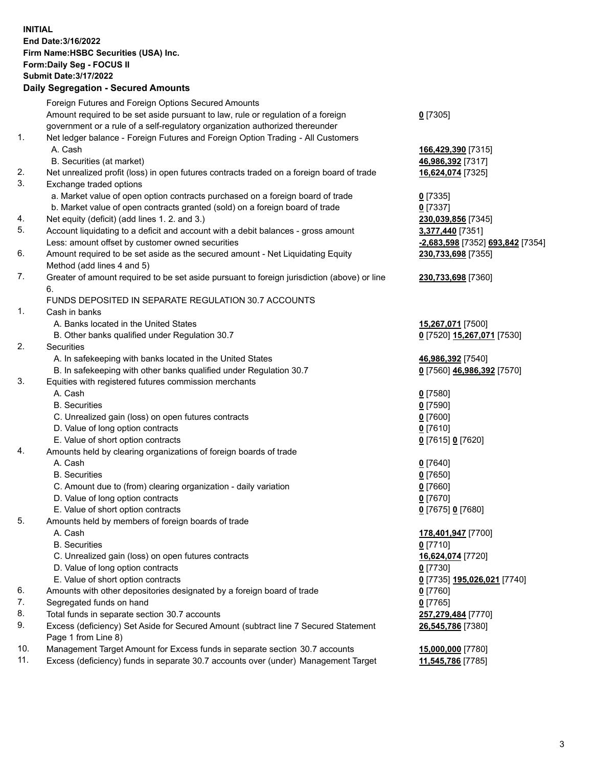**INITIAL End Date:3/16/2022 Firm Name:HSBC Securities (USA) Inc. Form:Daily Seg - FOCUS II Submit Date:3/17/2022 Daily Segregation - Secured Amounts** Foreign Futures and Foreign Options Secured Amounts Amount required to be set aside pursuant to law, rule or regulation of a foreign government or a rule of a self-regulatory organization authorized thereunder 1. Net ledger balance - Foreign Futures and Foreign Option Trading - All Customers A. Cash **166,429,390** [7315] B. Securities (at market) **46,986,392** [7317] 2. Net unrealized profit (loss) in open futures contracts traded on a foreign board of trade **16,624,074** [7325] 3. Exchange traded options a. Market value of open option contracts purchased on a foreign board of trade **0** [7335] b. Market value of open contracts granted (sold) on a foreign board of trade **0** [7337] 4. Net equity (deficit) (add lines 1. 2. and 3.) **230,039,856** [7345] 5. Account liquidating to a deficit and account with a debit balances - gross amount **3,377,440** [7351] Less: amount offset by customer owned securities **-2,683,598** [7352] **693,842** [7354]

- 6. Amount required to be set aside as the secured amount Net Liquidating Equity Method (add lines 4 and 5)
- 7. Greater of amount required to be set aside pursuant to foreign jurisdiction (above) or line 6.

## FUNDS DEPOSITED IN SEPARATE REGULATION 30.7 ACCOUNTS

1. Cash in banks

- A. Banks located in the United States **15,267,071** [7500]
- B. Other banks qualified under Regulation 30.7 **0** [7520] **15,267,071** [7530]
- 2. Securities
	- A. In safekeeping with banks located in the United States **46,986,392** [7540]
	- B. In safekeeping with other banks qualified under Regulation 30.7 **0** [7560] **46,986,392** [7570]
- 3. Equities with registered futures commission merchants
	- A. Cash **0** [7580]
	- B. Securities **0** [7590]
	- C. Unrealized gain (loss) on open futures contracts **0** [7600]
	- D. Value of long option contracts **0** [7610]
	- E. Value of short option contracts **0** [7615] **0** [7620]
- 4. Amounts held by clearing organizations of foreign boards of trade
	- A. Cash **0** [7640]
	- B. Securities **0** [7650]
	- C. Amount due to (from) clearing organization daily variation **0** [7660]
	- D. Value of long option contracts **0** [7670]
	- E. Value of short option contracts **0** [7675] **0** [7680]
- 5. Amounts held by members of foreign boards of trade
	-
	- B. Securities **0** [7710]
	- C. Unrealized gain (loss) on open futures contracts **16,624,074** [7720]
	- D. Value of long option contracts **0** [7730]
	- E. Value of short option contracts **0** [7735] **195,026,021** [7740]
- 6. Amounts with other depositories designated by a foreign board of trade **0** [7760]
- 7. Segregated funds on hand **0** [7765]
- 8. Total funds in separate section 30.7 accounts **257,279,484** [7770]
- 9. Excess (deficiency) Set Aside for Secured Amount (subtract line 7 Secured Statement Page 1 from Line 8)
- 10. Management Target Amount for Excess funds in separate section 30.7 accounts **15,000,000** [7780]
- 11. Excess (deficiency) funds in separate 30.7 accounts over (under) Management Target **11,545,786** [7785]

**0** [7305]

**230,733,698** [7355] **230,733,698** [7360]

- 
- 

 A. Cash **178,401,947** [7700] **26,545,786** [7380]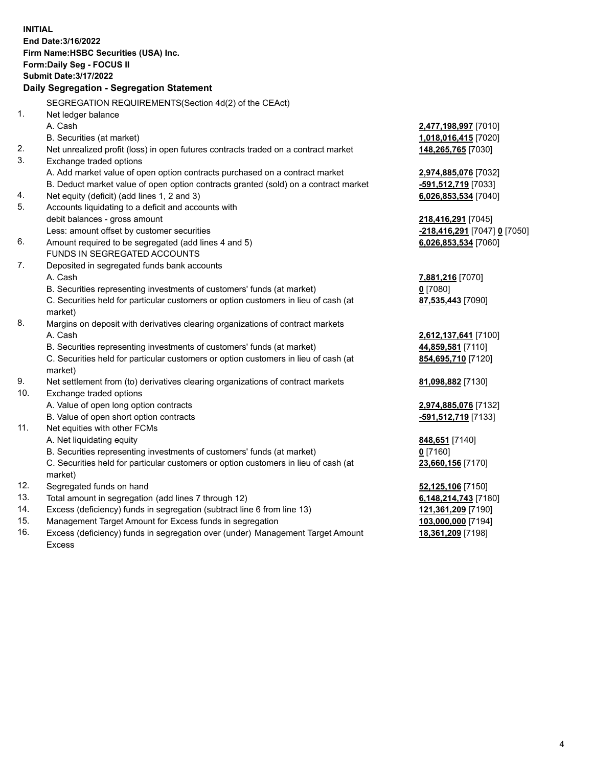**INITIAL End Date:3/16/2022 Firm Name:HSBC Securities (USA) Inc. Form:Daily Seg - FOCUS II Submit Date:3/17/2022 Daily Segregation - Segregation Statement** SEGREGATION REQUIREMENTS(Section 4d(2) of the CEAct) 1. Net ledger balance A. Cash **2,477,198,997** [7010] B. Securities (at market) **1,018,016,415** [7020] 2. Net unrealized profit (loss) in open futures contracts traded on a contract market **148,265,765** [7030] 3. Exchange traded options A. Add market value of open option contracts purchased on a contract market **2,974,885,076** [7032] B. Deduct market value of open option contracts granted (sold) on a contract market **-591,512,719** [7033] 4. Net equity (deficit) (add lines 1, 2 and 3) **6,026,853,534** [7040] 5. Accounts liquidating to a deficit and accounts with debit balances - gross amount **218,416,291** [7045] Less: amount offset by customer securities **-218,416,291** [7047] **0** [7050] 6. Amount required to be segregated (add lines 4 and 5) **6,026,853,534** [7060] FUNDS IN SEGREGATED ACCOUNTS 7. Deposited in segregated funds bank accounts A. Cash **7,881,216** [7070] B. Securities representing investments of customers' funds (at market) **0** [7080] C. Securities held for particular customers or option customers in lieu of cash (at market) **87,535,443** [7090] 8. Margins on deposit with derivatives clearing organizations of contract markets A. Cash **2,612,137,641** [7100] B. Securities representing investments of customers' funds (at market) **44,859,581** [7110] C. Securities held for particular customers or option customers in lieu of cash (at market) **854,695,710** [7120] 9. Net settlement from (to) derivatives clearing organizations of contract markets **81,098,882** [7130] 10. Exchange traded options A. Value of open long option contracts **2,974,885,076** [7132] B. Value of open short option contracts **-591,512,719** [7133] 11. Net equities with other FCMs A. Net liquidating equity **848,651** [7140] B. Securities representing investments of customers' funds (at market) **0** [7160] C. Securities held for particular customers or option customers in lieu of cash (at market) **23,660,156** [7170] 12. Segregated funds on hand **52,125,106** [7150] 13. Total amount in segregation (add lines 7 through 12) **6,148,214,743** [7180] 14. Excess (deficiency) funds in segregation (subtract line 6 from line 13) **121,361,209** [7190] 15. Management Target Amount for Excess funds in segregation **103,000,000** [7194] 16. Excess (deficiency) funds in segregation over (under) Management Target Amount **18,361,209** [7198]

Excess